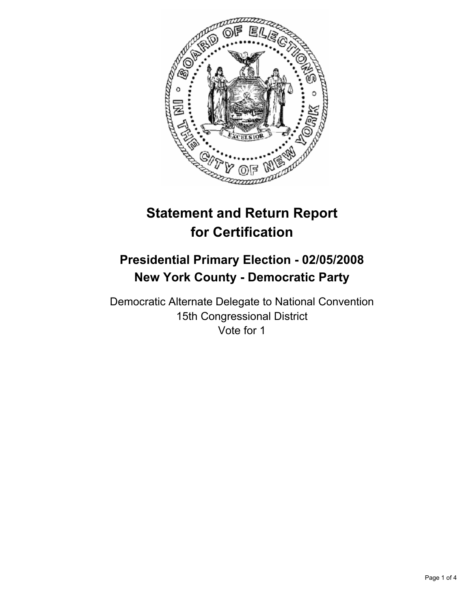

# **Statement and Return Report for Certification**

# **Presidential Primary Election - 02/05/2008 New York County - Democratic Party**

Democratic Alternate Delegate to National Convention 15th Congressional District Vote for 1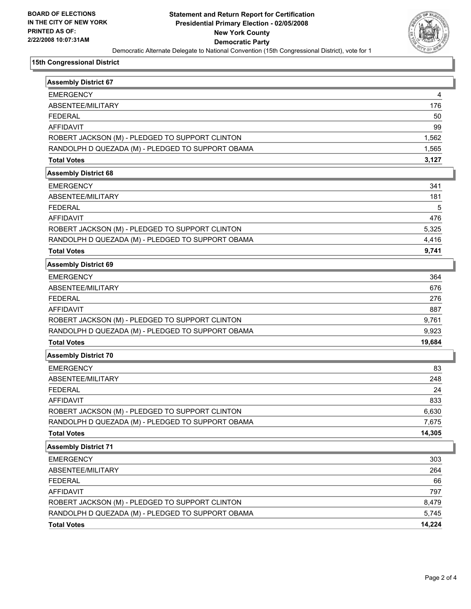

#### **15th Congressional District**

| <b>Assembly District 67</b>                       |        |
|---------------------------------------------------|--------|
| <b>EMERGENCY</b>                                  | 4      |
| ABSENTEE/MILITARY                                 | 176    |
| <b>FEDERAL</b>                                    | 50     |
| <b>AFFIDAVIT</b>                                  | 99     |
| ROBERT JACKSON (M) - PLEDGED TO SUPPORT CLINTON   | 1,562  |
| RANDOLPH D QUEZADA (M) - PLEDGED TO SUPPORT OBAMA | 1,565  |
| <b>Total Votes</b>                                | 3,127  |
| <b>Assembly District 68</b>                       |        |
| <b>EMERGENCY</b>                                  | 341    |
| ABSENTEE/MILITARY                                 | 181    |
| <b>FEDERAL</b>                                    | 5      |
| <b>AFFIDAVIT</b>                                  | 476    |
| ROBERT JACKSON (M) - PLEDGED TO SUPPORT CLINTON   | 5,325  |
| RANDOLPH D QUEZADA (M) - PLEDGED TO SUPPORT OBAMA | 4,416  |
| <b>Total Votes</b>                                | 9,741  |
| <b>Assembly District 69</b>                       |        |
| <b>EMERGENCY</b>                                  | 364    |
| ABSENTEE/MILITARY                                 | 676    |
| <b>FEDERAL</b>                                    | 276    |
| <b>AFFIDAVIT</b>                                  | 887    |
| ROBERT JACKSON (M) - PLEDGED TO SUPPORT CLINTON   | 9,761  |
| RANDOLPH D QUEZADA (M) - PLEDGED TO SUPPORT OBAMA | 9,923  |
| <b>Total Votes</b>                                | 19,684 |
| <b>Assembly District 70</b>                       |        |
| <b>EMERGENCY</b>                                  | 83     |
| ABSENTEE/MILITARY                                 | 248    |
| <b>FEDERAL</b>                                    | 24     |
| <b>AFFIDAVIT</b>                                  | 833    |
| ROBERT JACKSON (M) - PLEDGED TO SUPPORT CLINTON   | 6,630  |
| RANDOLPH D QUEZADA (M) - PLEDGED TO SUPPORT OBAMA | 7,675  |
| <b>Total Votes</b>                                | 14,305 |
| <b>Assembly District 71</b>                       |        |
| <b>EMERGENCY</b>                                  | 303    |
| ABSENTEE/MILITARY                                 | 264    |
| <b>FEDERAL</b>                                    | 66     |
| AFFIDAVIT                                         | 797    |
| ROBERT JACKSON (M) - PLEDGED TO SUPPORT CLINTON   | 8,479  |
| RANDOLPH D QUEZADA (M) - PLEDGED TO SUPPORT OBAMA | 5,745  |
| <b>Total Votes</b>                                | 14,224 |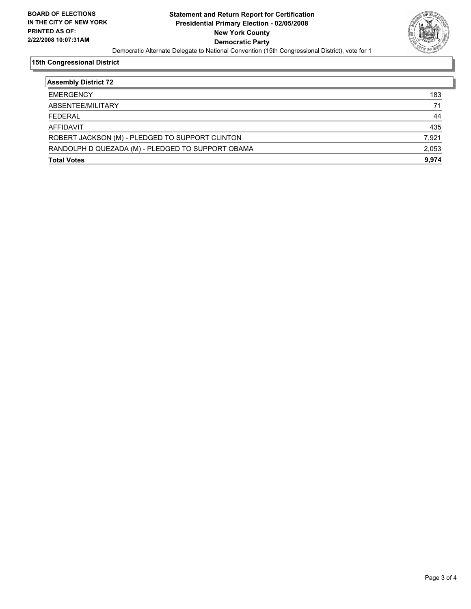

#### **15th Congressional District**

| <b>Assembly District 72</b>                       |       |
|---------------------------------------------------|-------|
| <b>EMERGENCY</b>                                  | 183   |
| ABSENTEE/MILITARY                                 | 71    |
| <b>FEDERAL</b>                                    | 44    |
| AFFIDAVIT                                         | 435   |
| ROBERT JACKSON (M) - PLEDGED TO SUPPORT CLINTON   | 7,921 |
| RANDOLPH D QUEZADA (M) - PLEDGED TO SUPPORT OBAMA | 2,053 |
| <b>Total Votes</b>                                | 9,974 |